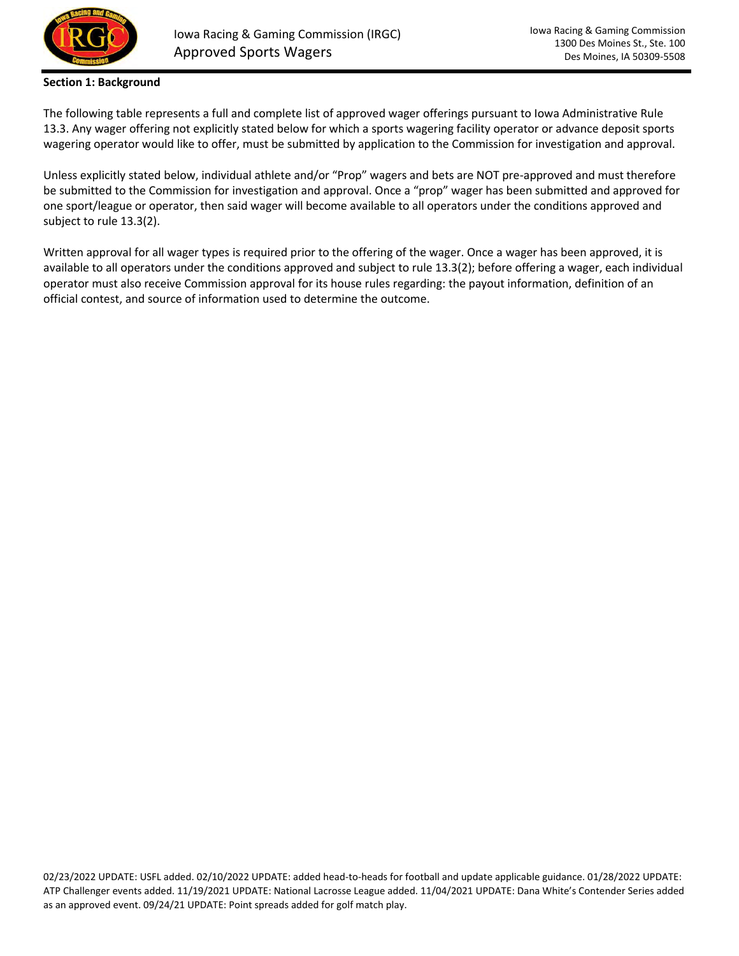

## **Section 1: Background**

The following table represents a full and complete list of approved wager offerings pursuant to Iowa Administrative Rule 13.3. Any wager offering not explicitly stated below for which a sports wagering facility operator or advance deposit sports wagering operator would like to offer, must be submitted by application to the Commission for investigation and approval.

Unless explicitly stated below, individual athlete and/or "Prop" wagers and bets are NOT pre-approved and must therefore be submitted to the Commission for investigation and approval. Once a "prop" wager has been submitted and approved for one sport/league or operator, then said wager will become available to all operators under the conditions approved and subject to rule 13.3(2).

Written approval for all wager types is required prior to the offering of the wager. Once a wager has been approved, it is available to all operators under the conditions approved and subject to rule 13.3(2); before offering a wager, each individual operator must also receive Commission approval for its house rules regarding: the payout information, definition of an official contest, and source of information used to determine the outcome.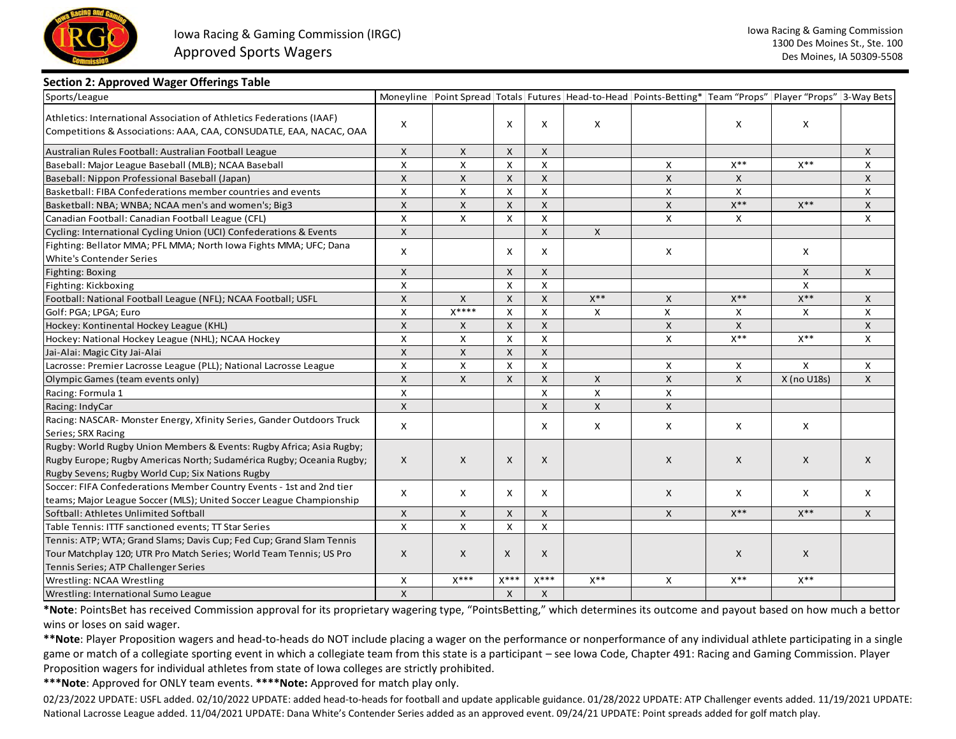

#### **Section 2: Approved Wager Offerings Table**

| Sports/League                                                                                                                                                           |                           |              |                |                    |                | Moneyline Point Spread Totals Futures Head-to-Head Points-Betting* Team "Props" Player "Props" 3-Way Bets |                   |             |              |
|-------------------------------------------------------------------------------------------------------------------------------------------------------------------------|---------------------------|--------------|----------------|--------------------|----------------|-----------------------------------------------------------------------------------------------------------|-------------------|-------------|--------------|
| Athletics: International Association of Athletics Federations (IAAF)<br>Competitions & Associations: AAA, CAA, CONSUDATLE, EAA, NACAC, OAA                              | X                         |              | $\mathsf{x}$   | X                  | X              |                                                                                                           | X                 | X           |              |
| Australian Rules Football: Australian Football League                                                                                                                   | $\mathsf{X}$              | X            | $\mathsf{x}$   | X                  |                |                                                                                                           |                   |             | $\mathsf{X}$ |
| Baseball: Major League Baseball (MLB); NCAA Baseball                                                                                                                    | $\pmb{\times}$            | $\mathsf{x}$ | $\mathsf{x}$   | $\mathsf{X}$       |                | X                                                                                                         | $X^{**}$          | $X^{**}$    | X            |
| Baseball: Nippon Professional Baseball (Japan)                                                                                                                          | $\mathsf{X}$              | X            | $\mathsf{x}$   | X                  |                | X                                                                                                         | X                 |             | $\mathsf{x}$ |
| Basketball: FIBA Confederations member countries and events                                                                                                             | $\pmb{\times}$            | X            | X              | X                  |                | X                                                                                                         | X                 |             | $\mathsf{X}$ |
| Basketball: NBA; WNBA; NCAA men's and women's; Big3                                                                                                                     | $\mathsf{x}$              | X            | $\mathsf{X}$   | X                  |                | X                                                                                                         | $\mathsf{X}^{**}$ | $X^{**}$    | $\mathsf{X}$ |
| Canadian Football: Canadian Football League (CFL)                                                                                                                       | $\pmb{\times}$            | $\mathsf{X}$ | $\mathsf{X}$   | X                  |                | X                                                                                                         | $\mathsf{X}$      |             | $\times$     |
| Cycling: International Cycling Union (UCI) Confederations & Events                                                                                                      | $\mathsf{x}$              |              |                | $\mathsf{x}$       | X              |                                                                                                           |                   |             |              |
| Fighting: Bellator MMA; PFL MMA; North Iowa Fights MMA; UFC; Dana<br>White's Contender Series                                                                           | X                         |              | X              | X                  |                | X                                                                                                         |                   | X           |              |
| Fighting: Boxing                                                                                                                                                        | $\mathsf{X}$              |              | $\mathsf{x}$   | X                  |                |                                                                                                           |                   | X           | $\mathsf{x}$ |
| Fighting: Kickboxing                                                                                                                                                    | $\pmb{\times}$            |              | $\mathsf{x}$   | X                  |                |                                                                                                           |                   | X           |              |
| Football: National Football League (NFL); NCAA Football; USFL                                                                                                           | $\pmb{\mathsf{X}}$        | X            | $\mathsf{X}$   | $\mathsf{X}$       | $X^{**}$       | X                                                                                                         | $X^{**}$          | $X^{**}$    | $\mathsf{X}$ |
| Golf: PGA; LPGA; Euro                                                                                                                                                   | $\pmb{\times}$            | $X***$       | $\pmb{\times}$ | $\pmb{\mathsf{X}}$ | X              | $\mathsf{x}$                                                                                              | $\mathsf{x}$      | X           | X            |
| Hockey: Kontinental Hockey League (KHL)                                                                                                                                 | $\boldsymbol{\mathsf{x}}$ | X            | $\mathsf{X}$   | $\mathsf{x}$       |                | X                                                                                                         | $\mathsf{x}$      |             | $\mathsf{X}$ |
| Hockey: National Hockey League (NHL); NCAA Hockey                                                                                                                       | $\pmb{\times}$            | X            | X              | X                  |                | $\mathsf{x}$                                                                                              | $\mathsf{X}^{**}$ | $X^{**}$    | $\times$     |
| Jai-Alai: Magic City Jai-Alai                                                                                                                                           | $\mathsf{x}$              | $\mathsf{X}$ | $\mathsf{X}$   | $\mathsf{X}$       |                |                                                                                                           |                   |             |              |
| Lacrosse: Premier Lacrosse League (PLL); National Lacrosse League                                                                                                       | X                         | X            | X              | X                  |                | X                                                                                                         | X                 | X           | X            |
| Olympic Games (team events only)                                                                                                                                        | $\boldsymbol{\mathsf{x}}$ | X            | $\mathsf{x}$   | X                  | X              | X                                                                                                         | X                 | X (no U18s) | $\mathsf{X}$ |
| Racing: Formula 1                                                                                                                                                       | $\pmb{\times}$            |              |                | X                  | X              | X                                                                                                         |                   |             |              |
| Racing: IndyCar                                                                                                                                                         | $\mathsf{x}$              |              |                | $\mathsf{x}$       | $\pmb{\times}$ | X                                                                                                         |                   |             |              |
| Racing: NASCAR- Monster Energy, Xfinity Series, Gander Outdoors Truck<br>Series; SRX Racing                                                                             | X                         |              |                | x                  | X              | X                                                                                                         | X                 | X           |              |
| Rugby: World Rugby Union Members & Events: Rugby Africa; Asia Rugby;                                                                                                    |                           |              |                |                    |                |                                                                                                           |                   |             |              |
| Rugby Europe; Rugby Americas North; Sudamérica Rugby; Oceania Rugby;                                                                                                    | X                         | X            | X              | X                  |                | X                                                                                                         | X                 | X           | $\mathsf{X}$ |
| Rugby Sevens; Rugby World Cup; Six Nations Rugby                                                                                                                        |                           |              |                |                    |                |                                                                                                           |                   |             |              |
| Soccer: FIFA Confederations Member Country Events - 1st and 2nd tier                                                                                                    |                           |              |                |                    |                |                                                                                                           |                   |             |              |
| teams; Major League Soccer (MLS); United Soccer League Championship                                                                                                     | X                         | X            | X              | X                  |                | X                                                                                                         | X                 | X           | X            |
| Softball: Athletes Unlimited Softball                                                                                                                                   | X                         | X            | $\mathsf X$    | X                  |                | X                                                                                                         | $\mathsf{X}^{**}$ | $X^{**}$    | $\mathsf{x}$ |
| Table Tennis: ITTF sanctioned events; TT Star Series                                                                                                                    | X                         | X            | X              | X                  |                |                                                                                                           |                   |             |              |
| Tennis: ATP; WTA; Grand Slams; Davis Cup; Fed Cup; Grand Slam Tennis                                                                                                    |                           |              |                |                    |                |                                                                                                           |                   |             |              |
| Tour Matchplay 120; UTR Pro Match Series; World Team Tennis; US Pro                                                                                                     | X                         | X            | X              | X                  |                |                                                                                                           | X                 | X           |              |
| Tennis Series; ATP Challenger Series                                                                                                                                    |                           |              |                |                    |                |                                                                                                           |                   |             |              |
| <b>Wrestling: NCAA Wrestling</b>                                                                                                                                        | X                         | $X***$       | $X***$         | $X***$             | $X^{**}$       | X                                                                                                         | $X^{**}$          | $X^{**}$    |              |
| Wrestling: International Sumo League                                                                                                                                    | $\mathsf{x}$              |              | $\mathsf{x}$   | $\mathsf{x}$       |                |                                                                                                           |                   |             |              |
| *Note: PointsBet has received Commission approval for its proprietary wagering type, "PointsBetting," which determines its outcome and payout based on how much a betto |                           |              |                |                    |                |                                                                                                           |                   |             |              |
| wins or loses on said wager.                                                                                                                                            |                           |              |                |                    |                |                                                                                                           |                   |             |              |

 **\*\*Note**: Player Proposition wagers and head-to-heads do NOT include placing a wager on the performance or nonperformance of any individual athlete participating in a single game or match of a collegiate sporting event in which a collegiate team from this state is a participant – see Iowa Code, Chapter 491: Racing and Gaming Commission. Player Proposition wagers for individual athletes from state of Iowa colleges are strictly prohibited.

**\*\*\*Note**: Approved for ONLY team events. **\*\*\*\*Note:** Approved for match play only.

02/23/2022 UPDATE: USFL added. 02/10/2022 UPDATE: added head-to-heads for football and update applicable guidance. 01/28/2022 UPDATE: ATP Challenger events added. 11/19/2021 UPDATE: National Lacrosse League added. 11/04/2021 UPDATE: Dana White's Contender Series added as an approved event. 09/24/21 UPDATE: Point spreads added for golf match play.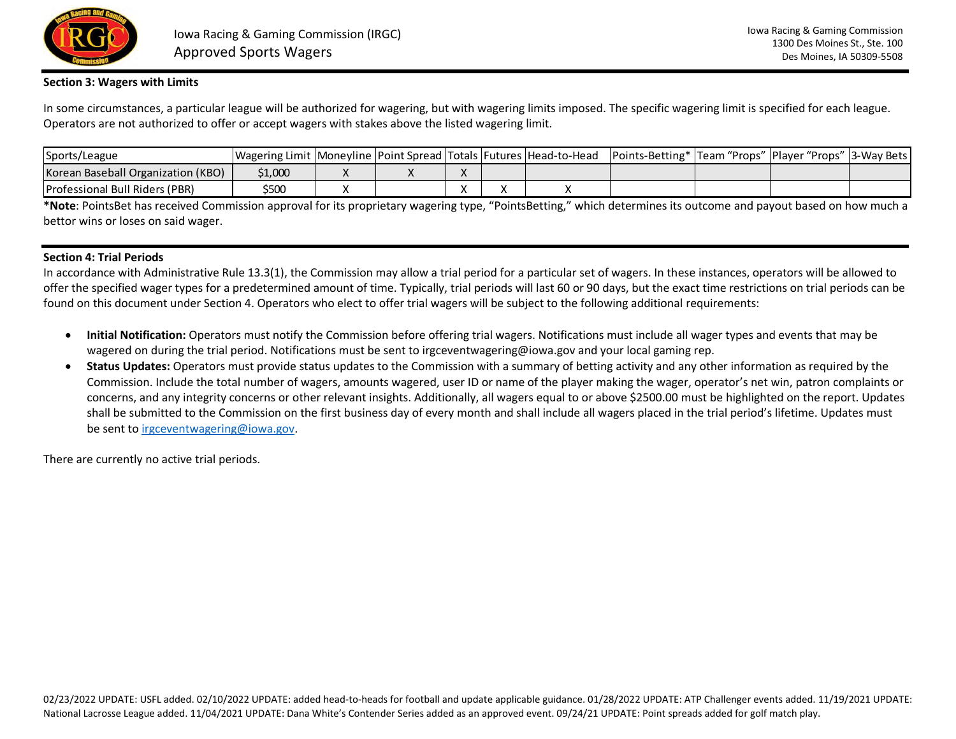

### **Section 3: Wagers with Limits**

In some circumstances, a particular league will be authorized for wagering, but with wagering limits imposed. The specific wagering limit is specified for each league. Operators are not authorized to offer or accept wagers with stakes above the listed wagering limit.

| Sports/League                         | Wagering Limit   Moneyline   Point Spread   Totals   Futures   Head-to-Head |  |           |  | Points-Betting*  Team "Props"  Player "Props" |  | "   3-Wav Bets |
|---------------------------------------|-----------------------------------------------------------------------------|--|-----------|--|-----------------------------------------------|--|----------------|
| Korean Baseball Organization (KBO)    | 1,000ء                                                                      |  | $\Lambda$ |  |                                               |  |                |
| <b>Professional Bull Riders (PBR)</b> | \$500                                                                       |  |           |  |                                               |  |                |

**\*Note**: PointsBet has received Commission approval for its proprietary wagering type, "PointsBetting," which determines its outcome and payout based on how much a bettor wins or loses on said wager.

# **Section 4: Trial Periods**

In accordance with Administrative Rule 13.3(1), the Commission may allow a trial period for a particular set of wagers. In these instances, operators will be allowed to offer the specified wager types for a predetermined amount of time. Typically, trial periods will last 60 or 90 days, but the exact time restrictions on trial periods can be found on this document under Section 4. Operators who elect to offer trial wagers will be subject to the following additional requirements:

- **Initial Notification:** Operators must notify the Commission before offering trial wagers. Notifications must include all wager types and events that may be wagered on during the trial period. Notifications must be sent to irgceventwagering@iowa.gov and your local gaming rep.
- **Status Updates:** Operators must provide status updates to the Commission with a summary of betting activity and any other information as required by the Commission. Include the total number of wagers, amounts wagered, user ID or name of the player making the wager, operator's net win, patron complaints or concerns, and any integrity concerns or other relevant insights. Additionally, all wagers equal to or above \$2500.00 must be highlighted on the report. Updates shall be submitted to the Commission on the first business day of every month and shall include all wagers placed in the trial period's lifetime. Updates must be sent t[o irgceventwagering@iowa.gov.](mailto:irgceventwagering@iowa.gov)

There are currently no active trial periods.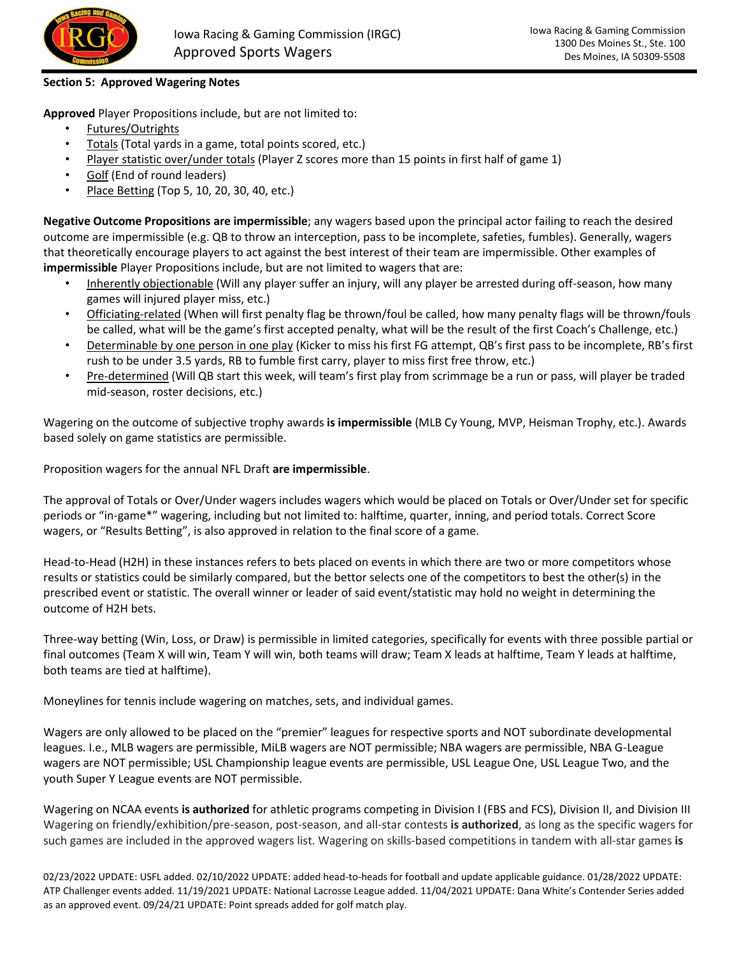

# **Section 5: Approved Wagering Notes**

**Approved** Player Propositions include, but are not limited to:

- Futures/Outrights
- Totals (Total yards in a game, total points scored, etc.)
- Player statistic over/under totals (Player Z scores more than 15 points in first half of game 1)
- Golf (End of round leaders)
- Place Betting (Top 5, 10, 20, 30, 40, etc.)

**Negative Outcome Propositions are impermissible**; any wagers based upon the principal actor failing to reach the desired outcome are impermissible (e.g. QB to throw an interception, pass to be incomplete, safeties, fumbles). Generally, wagers that theoretically encourage players to act against the best interest of their team are impermissible. Other examples of **impermissible** Player Propositions include, but are not limited to wagers that are:

- Inherently objectionable (Will any player suffer an injury, will any player be arrested during off-season, how many games will injured player miss, etc.)
- Officiating-related (When will first penalty flag be thrown/foul be called, how many penalty flags will be thrown/fouls be called, what will be the game's first accepted penalty, what will be the result of the first Coach's Challenge, etc.)
- Determinable by one person in one play (Kicker to miss his first FG attempt, QB's first pass to be incomplete, RB's first rush to be under 3.5 yards, RB to fumble first carry, player to miss first free throw, etc.)
- Pre-determined (Will QB start this week, will team's first play from scrimmage be a run or pass, will player be traded mid-season, roster decisions, etc.)

Wagering on the outcome of subjective trophy awards **is impermissible** (MLB Cy Young, MVP, Heisman Trophy, etc.). Awards based solely on game statistics are permissible.

Proposition wagers for the annual NFL Draft **are impermissible**.

The approval of Totals or Over/Under wagers includes wagers which would be placed on Totals or Over/Under set for specific periods or "in-game\*" wagering, including but not limited to: halftime, quarter, inning, and period totals. Correct Score wagers, or "Results Betting", is also approved in relation to the final score of a game.

Head-to-Head (H2H) in these instances refers to bets placed on events in which there are two or more competitors whose results or statistics could be similarly compared, but the bettor selects one of the competitors to best the other(s) in the prescribed event or statistic. The overall winner or leader of said event/statistic may hold no weight in determining the outcome of H2H bets.

Three-way betting (Win, Loss, or Draw) is permissible in limited categories, specifically for events with three possible partial or final outcomes (Team X will win, Team Y will win, both teams will draw; Team X leads at halftime, Team Y leads at halftime, both teams are tied at halftime).

Moneylines for tennis include wagering on matches, sets, and individual games.

 leagues. I.e., MLB wagers are permissible, MiLB wagers are NOT permissible; NBA wagers are permissible, NBA G-League Wagers are only allowed to be placed on the "premier" leagues for respective sports and NOT subordinate developmental wagers are NOT permissible; USL Championship league events are permissible, USL League One, USL League Two, and the youth Super Y League events are NOT permissible.

Wagering on NCAA events **is authorized** for athletic programs competing in Division I (FBS and FCS), Division II, and Division III Wagering on friendly/exhibition/pre-season, post-season, and all-star contests **is authorized**, as long as the specific wagers for such games are included in the approved wagers list. Wagering on skills-based competitions in tandem with all-star games **is** 

02/23/2022 UPDATE: USFL added. 02/10/2022 UPDATE: added head-to-heads for football and update applicable guidance. 01/28/2022 UPDATE: ATP Challenger events added. 11/19/2021 UPDATE: National Lacrosse League added. 11/04/2021 UPDATE: Dana White's Contender Series added as an approved event. 09/24/21 UPDATE: Point spreads added for golf match play.